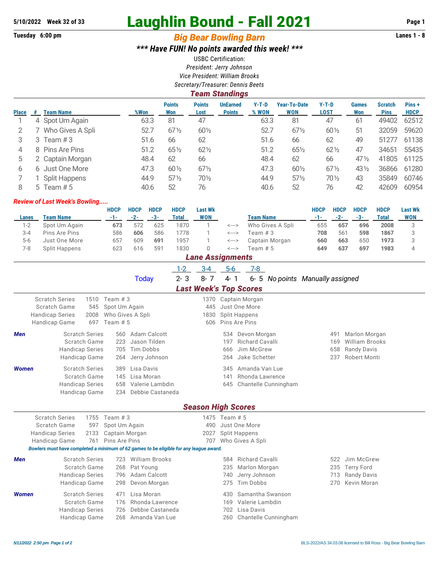# **5/10/2022 Week 32 of 33** Laughlin Bound - Fall 2021 **Page 1**

## **Tuesday 6:00 pm** *Big Bear Bowling Barn* **Lanes 1 - 8**

*\*\*\* Have FUN! No points awarded this week! \*\*\**

USBC Certification: *President: Jerry Johnson Vice President: William Brooks Secretary/Treasurer: Dennis Beets*

#### *Team Standings*

|              |   |                      | %Won | <b>Points</b>   | <b>Points</b>   | <b>UnEarned</b> | Y-T-D | <b>Year-To-Date</b><br><b>WON</b> | $Y-T-D$         | <b>Games</b>    | <b>Scratch</b> | Pins +      |
|--------------|---|----------------------|------|-----------------|-----------------|-----------------|-------|-----------------------------------|-----------------|-----------------|----------------|-------------|
| <b>Place</b> | # | Team Name            |      | Won             | Lost            | <b>Points</b>   | % WON |                                   | <b>LOST</b>     | Won             | <b>Pins</b>    | <b>HDCP</b> |
|              |   | 4 Spot Um Again      | 63.3 | 81              | 47              |                 | 63.3  | 81                                | 47              | 61              | 49402          | 62512       |
|              |   | Who Gives A Spli     | 52.7 | $67\frac{1}{2}$ | $60\frac{1}{2}$ |                 | 52.7  | $67\frac{1}{2}$                   | $60\frac{1}{2}$ | 51              | 32059          | 59620       |
| 3            | 3 | Team #3              | 51.6 | 66              | 62              |                 | 51.6  | 66                                | 62              | 49              | 51277          | 61138       |
| 4            |   | 8 Pins Are Pins      | 51.2 | $65\%$          | $62\frac{1}{2}$ |                 | 51.2  | 651/2                             | $62\frac{1}{2}$ | 47              | 34651          | 55435       |
| $^{\rm b}$   |   | 2 Captain Morgan     | 48.4 | 62              | 66              |                 | 48.4  | 62                                | 66              | $47\%$          | 41805          | 61125       |
| 6            |   | 6 Just One More      | 47.3 | $60\frac{1}{2}$ | $67\frac{1}{2}$ |                 | 47.3  | 601/2                             | $67\frac{1}{2}$ | $43\frac{1}{2}$ | 36866          | 61280       |
|              |   | <b>Split Happens</b> | 44.9 | $57\frac{1}{2}$ | 70½             |                 | 44.9  | $57\frac{1}{2}$                   | $70\%$          | 43              | 35849          | 60746       |
| 8            |   | 5 Team $# 5$         | 40.6 | 52              | 76              |                 | 40.6  | 52                                | 76              | 42              | 42609          | 60954       |

#### *Review of Last Week's Bowling.....*

|         |                      | HDCP  | <b>HDCP</b> | <b>HDCP</b> | <b>HDCP</b> | <b>Last Wk</b>    |       |                  | <b>HDCP</b> | <b>HDCP</b> | <b>HDCP</b> | <b>HDCP</b> | <b>Last Wk</b> |
|---------|----------------------|-------|-------------|-------------|-------------|-------------------|-------|------------------|-------------|-------------|-------------|-------------|----------------|
| Lanes   | Team Name            | $-1-$ | $-2-$       | $-3-$       | Total       | <b>WON</b>        |       | <b>Team Name</b> |             | $-2-$       | $-3-$       | Total       | <b>WON</b>     |
| 1-2     | Spot Um Again        | 673   | 572         | 625         | 1870        |                   | <---> | Who Gives A Spli | 655         | 657         | 696         | 2008        |                |
| $3 - 4$ | Pins Are Pins        | 586   | 606         | 586         | 1778        |                   | <---> | Team # 3         | 708         | 561         | 598         | 1867        |                |
| $5-6$   | Just One More        | 657   | 609         | 691         | 1957        |                   | <---> | Captain Morgan   | 660         | 663         | 650         | 1973        |                |
| 7-8     | <b>Split Happens</b> | 623   | 616         | 591         | 1830        |                   | <---> | Team # 5         | 649         | 637         | 697         | 1983        |                |
|         |                      |       |             |             |             | ' ane Assignments |       |                  |             |             |             |             |                |

|                        |                        |      |                  |                                                                                        | $1 - 2$ | $3 - 4$                       | $5-6$                |  | $7 - 8$                |                      |                                  |                       |  |
|------------------------|------------------------|------|------------------|----------------------------------------------------------------------------------------|---------|-------------------------------|----------------------|--|------------------------|----------------------|----------------------------------|-----------------------|--|
|                        |                        |      |                  | <b>Today</b>                                                                           | $2 - 3$ | $8 - 7$                       | $4 - 1$              |  |                        |                      | 6- 5 No points Manually assigned |                       |  |
|                        |                        |      |                  |                                                                                        |         | <b>Last Week's Top Scores</b> |                      |  |                        |                      |                                  |                       |  |
| <b>Scratch Series</b>  |                        |      | 1510 Team # 3    |                                                                                        |         |                               | 1370 Captain Morgan  |  |                        |                      |                                  |                       |  |
|                        | Scratch Game           | 545  | Spot Um Again    |                                                                                        |         | 445                           | Just One More        |  |                        |                      |                                  |                       |  |
| <b>Handicap Series</b> |                        | 2008 | Who Gives A Spli |                                                                                        |         | 1830                          | Split Happens        |  |                        |                      |                                  |                       |  |
| Handicap Game          |                        | 697  | Team $# 5$       |                                                                                        |         | 606                           | Pins Are Pins        |  |                        |                      |                                  |                       |  |
| <b>Men</b>             | <b>Scratch Series</b>  |      | 560              | Adam Calcott                                                                           |         |                               | 534                  |  | Devon Morgan           |                      | 491                              | Marlon Morgan         |  |
|                        | Scratch Game           |      | 223              | Jason Tilden                                                                           |         |                               | 197                  |  | Richard Cavalli        |                      | 169                              | <b>William Brooks</b> |  |
|                        | <b>Handicap Series</b> |      | 705              | Tim Dobbs                                                                              |         |                               | 666                  |  | Jim McGrew             |                      | 658                              | <b>Randy Davis</b>    |  |
|                        | Handicap Game          |      | 264              | Jerry Johnson                                                                          |         |                               | 264                  |  | Jake Schetter          |                      | 237                              | Robert Monti          |  |
| <b>Women</b>           | <b>Scratch Series</b>  |      | 389              | Lisa Davis                                                                             |         |                               | 345                  |  |                        | Amanda Van Lue       |                                  |                       |  |
|                        | Scratch Game           |      | 145              | Lisa Moran                                                                             |         |                               | 141                  |  |                        | Rhonda Lawrence      |                                  |                       |  |
|                        | <b>Handicap Series</b> |      |                  | 658 Valerie Lambdin                                                                    |         |                               | 645                  |  |                        | Chantelle Cunningham |                                  |                       |  |
|                        | Handicap Game          |      | 234              | Debbie Castaneda                                                                       |         |                               |                      |  |                        |                      |                                  |                       |  |
|                        |                        |      |                  |                                                                                        |         | <b>Season High Scores</b>     |                      |  |                        |                      |                                  |                       |  |
| <b>Scratch Series</b>  |                        | 1755 | Team $#3$        |                                                                                        |         |                               | 1475 Team # 5        |  |                        |                      |                                  |                       |  |
|                        | Scratch Game           | 597  | Spot Um Again    |                                                                                        |         | 490                           | Just One More        |  |                        |                      |                                  |                       |  |
| <b>Handicap Series</b> |                        | 2133 | Captain Morgan   |                                                                                        |         | 2027                          | <b>Split Happens</b> |  |                        |                      |                                  |                       |  |
| Handicap Game          |                        | 761  | Pins Are Pins    |                                                                                        |         |                               | 707 Who Gives A Spli |  |                        |                      |                                  |                       |  |
|                        |                        |      |                  | Bowlers must have completed a minimum of 62 games to be eligible for any league award. |         |                               |                      |  |                        |                      |                                  |                       |  |
| <b>Men</b>             | <b>Scratch Series</b>  |      | 723              | <b>William Brooks</b>                                                                  |         |                               | 584                  |  | <b>Richard Cavalli</b> |                      | 522                              | Jim McGrew            |  |
|                        | Scratch Game           |      | 268              | Pat Young                                                                              |         |                               | 235                  |  |                        | Marlon Morgan        | 235                              | <b>Terry Ford</b>     |  |
|                        | <b>Handicap Series</b> |      | 796              | Adam Calcott                                                                           |         |                               | 740                  |  | Jerry Johnson          |                      | 713                              | <b>Randy Davis</b>    |  |
|                        | Handicap Game          |      | 298              | Devon Morgan                                                                           |         |                               | 275                  |  | Tim Dobbs              |                      | 270                              | Kevin Moran           |  |
| <b>Women</b>           | <b>Scratch Series</b>  |      | 471              | Lisa Moran                                                                             |         |                               | 430                  |  |                        | Samantha Swanson     |                                  |                       |  |
|                        | <b>Scratch Game</b>    |      | 176              | Rhonda Lawrence                                                                        |         |                               | 169                  |  |                        | Valerie Lambdin      |                                  |                       |  |
|                        | <b>Handicap Series</b> |      | 726              | Debbie Castaneda                                                                       |         |                               | 702                  |  | Lisa Davis             |                      |                                  |                       |  |
|                        | Handicap Game          |      | 268              | Amanda Van Lue                                                                         |         |                               | 260                  |  |                        | Chantelle Cunningham |                                  |                       |  |
|                        |                        |      |                  |                                                                                        |         |                               |                      |  |                        |                      |                                  |                       |  |